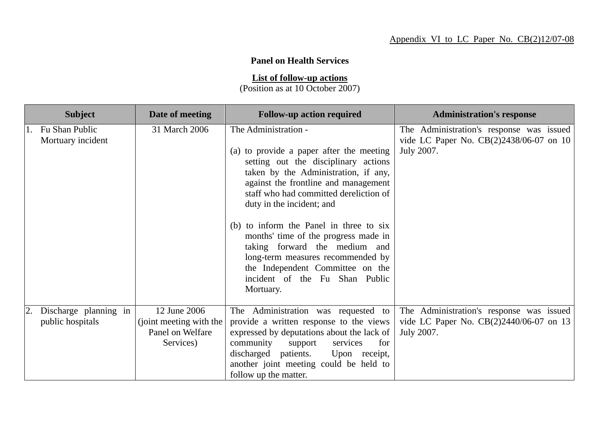## **Panel on Health Services**

**List of follow-up actions**

(Position as at 10 October 2007)

| <b>Subject</b>                            | Date of meeting                                                          | <b>Follow-up action required</b>                                                                                                                                                                                                                                                                                                                                                                                                                                                                            | <b>Administration's response</b>                                                                  |
|-------------------------------------------|--------------------------------------------------------------------------|-------------------------------------------------------------------------------------------------------------------------------------------------------------------------------------------------------------------------------------------------------------------------------------------------------------------------------------------------------------------------------------------------------------------------------------------------------------------------------------------------------------|---------------------------------------------------------------------------------------------------|
| 1. Fu Shan Public<br>Mortuary incident    | 31 March 2006                                                            | The Administration -<br>(a) to provide a paper after the meeting<br>setting out the disciplinary actions<br>taken by the Administration, if any,<br>against the frontline and management<br>staff who had committed dereliction of<br>duty in the incident; and<br>(b) to inform the Panel in three to six<br>months' time of the progress made in<br>taking forward the medium and<br>long-term measures recommended by<br>the Independent Committee on the<br>incident of the Fu Shan Public<br>Mortuary. | The Administration's response was issued<br>vide LC Paper No. CB(2)2438/06-07 on 10<br>July 2007. |
| Discharge planning in<br>public hospitals | 12 June 2006<br>(joint meeting with the<br>Panel on Welfare<br>Services) | The Administration was requested to<br>provide a written response to the views<br>expressed by deputations about the lack of<br>community<br>for<br>support<br>services<br>discharged patients.<br>Upon receipt,<br>another joint meeting could be held to<br>follow up the matter.                                                                                                                                                                                                                         | The Administration's response was issued<br>vide LC Paper No. CB(2)2440/06-07 on 13<br>July 2007. |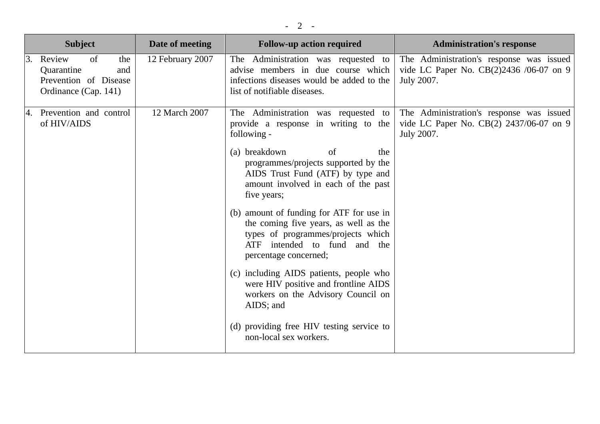| <b>Subject</b>                                                                               | Date of meeting  | <b>Follow-up action required</b>                                                                                                                                                                                                                                                                                                                                                                                                                                                                                                                                                                                                                             | <b>Administration's response</b>                                                                  |
|----------------------------------------------------------------------------------------------|------------------|--------------------------------------------------------------------------------------------------------------------------------------------------------------------------------------------------------------------------------------------------------------------------------------------------------------------------------------------------------------------------------------------------------------------------------------------------------------------------------------------------------------------------------------------------------------------------------------------------------------------------------------------------------------|---------------------------------------------------------------------------------------------------|
| 3. Review<br>of<br>the<br>Quarantine<br>and<br>Prevention of Disease<br>Ordinance (Cap. 141) | 12 February 2007 | The Administration was requested to<br>advise members in due course which<br>infections diseases would be added to the<br>list of notifiable diseases.                                                                                                                                                                                                                                                                                                                                                                                                                                                                                                       | The Administration's response was issued<br>vide LC Paper No. CB(2)2436 /06-07 on 9<br>July 2007. |
| Prevention and control<br>I4.<br>of HIV/AIDS                                                 | 12 March 2007    | The Administration was requested to<br>provide a response in writing to the<br>following -<br>(a) breakdown<br>of<br>the<br>programmes/projects supported by the<br>AIDS Trust Fund (ATF) by type and<br>amount involved in each of the past<br>five years;<br>(b) amount of funding for ATF for use in<br>the coming five years, as well as the<br>types of programmes/projects which<br>ATF intended to fund and the<br>percentage concerned;<br>(c) including AIDS patients, people who<br>were HIV positive and frontline AIDS<br>workers on the Advisory Council on<br>AIDS; and<br>(d) providing free HIV testing service to<br>non-local sex workers. | The Administration's response was issued<br>vide LC Paper No. CB(2) 2437/06-07 on 9<br>July 2007. |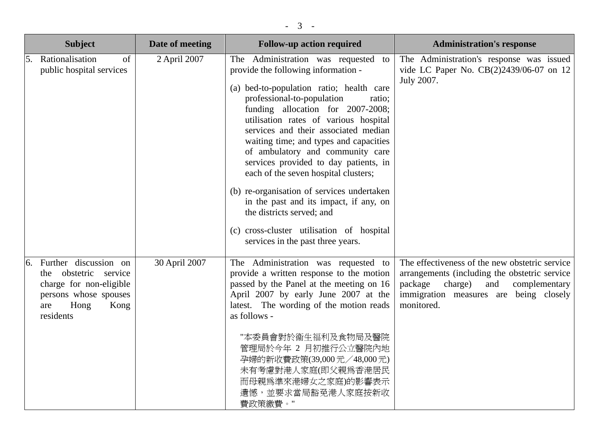|    | <b>Subject</b>                                                                                                                               | Date of meeting | <b>Follow-up action required</b>                                                                                                                                                                                                                                                                                                                                                                                                                                                                                                                                                                                                                              | <b>Administration's response</b>                                                                                                                                                                       |
|----|----------------------------------------------------------------------------------------------------------------------------------------------|-----------------|---------------------------------------------------------------------------------------------------------------------------------------------------------------------------------------------------------------------------------------------------------------------------------------------------------------------------------------------------------------------------------------------------------------------------------------------------------------------------------------------------------------------------------------------------------------------------------------------------------------------------------------------------------------|--------------------------------------------------------------------------------------------------------------------------------------------------------------------------------------------------------|
| 5. | Rationalisation<br>of<br>public hospital services                                                                                            | 2 April 2007    | The Administration was requested<br>to<br>provide the following information -<br>(a) bed-to-population ratio; health care<br>professional-to-population<br>ratio;<br>funding allocation for 2007-2008;<br>utilisation rates of various hospital<br>services and their associated median<br>waiting time; and types and capacities<br>of ambulatory and community care<br>services provided to day patients, in<br>each of the seven hospital clusters;<br>(b) re-organisation of services undertaken<br>in the past and its impact, if any, on<br>the districts served; and<br>(c) cross-cluster utilisation of hospital<br>services in the past three years. | The Administration's response was issued<br>vide LC Paper No. CB(2)2439/06-07 on 12<br>July 2007.                                                                                                      |
|    | Further discussion on<br>obstetric<br>service<br>the<br>charge for non-eligible<br>persons whose spouses<br>Hong<br>Kong<br>are<br>residents | 30 April 2007   | The Administration was requested to<br>provide a written response to the motion<br>passed by the Panel at the meeting on 16<br>April 2007 by early June 2007 at the<br>latest. The wording of the motion reads<br>as follows -<br>"本委員會對於衞生福利及食物局及醫院<br>管理局於今年 2 月初推行公立醫院內地<br>孕婦的新收費政策(39,000元/48,000元)<br>未有考慮對港人家庭(即父親爲香港居民<br>而母親爲準來港婦女之家庭)的影響表示<br>遺憾,並要求當局豁免港人家庭按新收<br>費政策繳費。"                                                                                                                                                                                                                                                                          | The effectiveness of the new obstetric service<br>arrangements (including the obstetric service)<br>package<br>charge)<br>and<br>complementary<br>immigration measures are being closely<br>monitored. |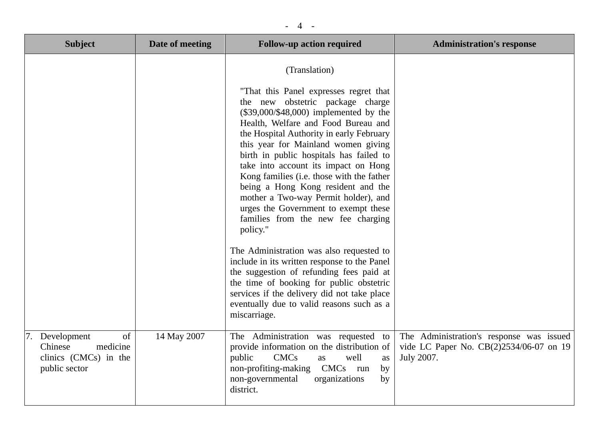| <b>Subject</b>                                                                     | Date of meeting | <b>Follow-up action required</b>                                                                                                                                                                                                                                                                                                                                                                                                                                                                                                                                          | <b>Administration's response</b>                                                                  |
|------------------------------------------------------------------------------------|-----------------|---------------------------------------------------------------------------------------------------------------------------------------------------------------------------------------------------------------------------------------------------------------------------------------------------------------------------------------------------------------------------------------------------------------------------------------------------------------------------------------------------------------------------------------------------------------------------|---------------------------------------------------------------------------------------------------|
|                                                                                    |                 | (Translation)<br>"That this Panel expresses regret that<br>the new obstetric package charge<br>$(\$39,000/\$48,000)$ implemented by the<br>Health, Welfare and Food Bureau and<br>the Hospital Authority in early February<br>this year for Mainland women giving<br>birth in public hospitals has failed to<br>take into account its impact on Hong<br>Kong families (i.e. those with the father<br>being a Hong Kong resident and the<br>mother a Two-way Permit holder), and<br>urges the Government to exempt these<br>families from the new fee charging<br>policy." |                                                                                                   |
|                                                                                    |                 | The Administration was also requested to<br>include in its written response to the Panel<br>the suggestion of refunding fees paid at<br>the time of booking for public obstetric<br>services if the delivery did not take place<br>eventually due to valid reasons such as a<br>miscarriage.                                                                                                                                                                                                                                                                              |                                                                                                   |
| of<br>Development<br>Chinese<br>medicine<br>clinics (CMCs) in the<br>public sector | 14 May 2007     | The Administration was requested to<br>provide information on the distribution of<br>public<br><b>CMCs</b><br>well<br>as<br>as<br>non-profiting-making<br>CMCs run<br>by<br>non-governmental<br>organizations<br>by<br>district.                                                                                                                                                                                                                                                                                                                                          | The Administration's response was issued<br>vide LC Paper No. CB(2)2534/06-07 on 19<br>July 2007. |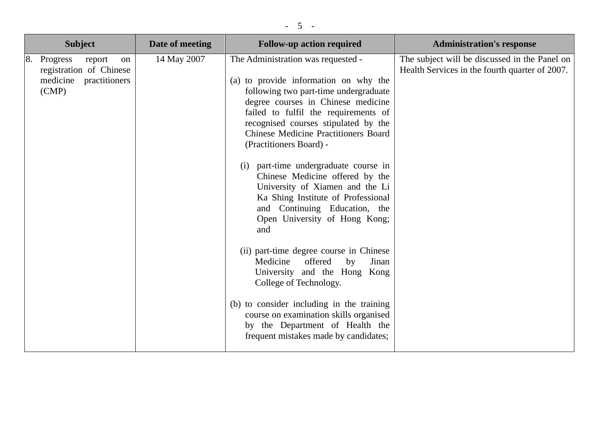|    | <b>Subject</b>                                                                            | Date of meeting | <b>Follow-up action required</b>                                                                                                                                                                                                                                                                                                                                                                                                                                                                                                                                                                                                                                                                                                                                                                                                                                    | <b>Administration's response</b>                                                                |
|----|-------------------------------------------------------------------------------------------|-----------------|---------------------------------------------------------------------------------------------------------------------------------------------------------------------------------------------------------------------------------------------------------------------------------------------------------------------------------------------------------------------------------------------------------------------------------------------------------------------------------------------------------------------------------------------------------------------------------------------------------------------------------------------------------------------------------------------------------------------------------------------------------------------------------------------------------------------------------------------------------------------|-------------------------------------------------------------------------------------------------|
| 8. | Progress<br>report<br>on<br>registration of Chinese<br>medicine<br>practitioners<br>(CMP) | 14 May 2007     | The Administration was requested -<br>(a) to provide information on why the<br>following two part-time undergraduate<br>degree courses in Chinese medicine<br>failed to fulfil the requirements of<br>recognised courses stipulated by the<br><b>Chinese Medicine Practitioners Board</b><br>(Practitioners Board) -<br>part-time undergraduate course in<br>(i)<br>Chinese Medicine offered by the<br>University of Xiamen and the Li<br>Ka Shing Institute of Professional<br>and Continuing Education, the<br>Open University of Hong Kong;<br>and<br>(ii) part-time degree course in Chinese<br>Medicine<br>offered<br>by<br>Jinan<br>University and the Hong Kong<br>College of Technology.<br>(b) to consider including in the training<br>course on examination skills organised<br>by the Department of Health the<br>frequent mistakes made by candidates; | The subject will be discussed in the Panel on<br>Health Services in the fourth quarter of 2007. |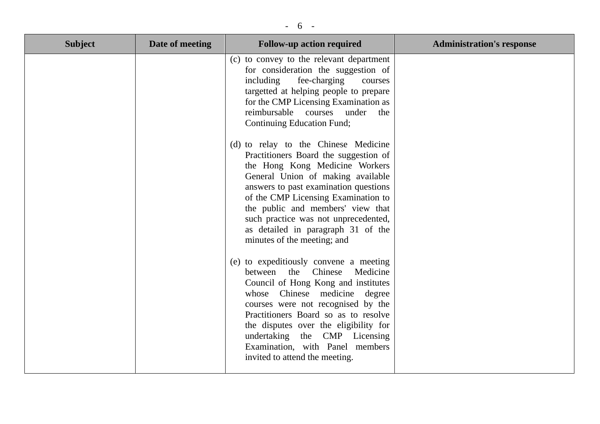## - 6 -

| <b>Subject</b> | Date of meeting | <b>Follow-up action required</b>                                                                                                                                                                                                                                                                                                                                                       | <b>Administration's response</b> |
|----------------|-----------------|----------------------------------------------------------------------------------------------------------------------------------------------------------------------------------------------------------------------------------------------------------------------------------------------------------------------------------------------------------------------------------------|----------------------------------|
|                |                 | (c) to convey to the relevant department<br>for consideration the suggestion of<br>including<br>fee-charging<br>courses<br>targetted at helping people to prepare<br>for the CMP Licensing Examination as<br>reimbursable courses<br>under<br>the<br><b>Continuing Education Fund;</b>                                                                                                 |                                  |
|                |                 | (d) to relay to the Chinese Medicine<br>Practitioners Board the suggestion of<br>the Hong Kong Medicine Workers<br>General Union of making available<br>answers to past examination questions<br>of the CMP Licensing Examination to<br>the public and members' view that<br>such practice was not unprecedented,<br>as detailed in paragraph 31 of the<br>minutes of the meeting; and |                                  |
|                |                 | (e) to expeditiously convene a meeting<br>Medicine<br>Chinese<br>between<br>the<br>Council of Hong Kong and institutes<br>whose Chinese medicine degree<br>courses were not recognised by the<br>Practitioners Board so as to resolve<br>the disputes over the eligibility for<br>undertaking the CMP Licensing<br>Examination, with Panel members<br>invited to attend the meeting.   |                                  |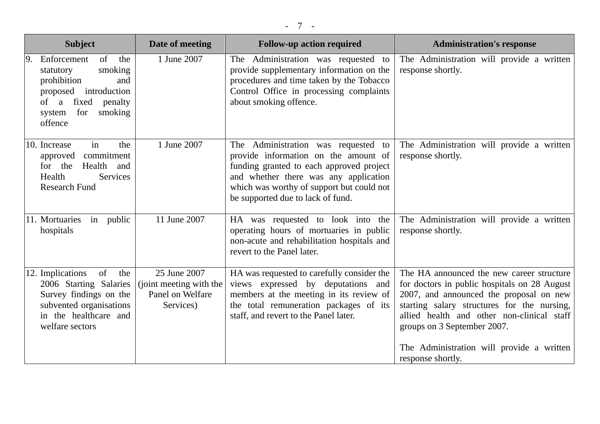| <b>Subject</b>                                                                                                                                                        | Date of meeting                                                          | <b>Follow-up action required</b>                                                                                                                                                                                                                   | <b>Administration's response</b>                                                                                                                                                                                                                                                                                                   |
|-----------------------------------------------------------------------------------------------------------------------------------------------------------------------|--------------------------------------------------------------------------|----------------------------------------------------------------------------------------------------------------------------------------------------------------------------------------------------------------------------------------------------|------------------------------------------------------------------------------------------------------------------------------------------------------------------------------------------------------------------------------------------------------------------------------------------------------------------------------------|
| of<br>Enforcement<br>the<br>smoking<br>statutory<br>prohibition<br>and<br>introduction<br>proposed<br>fixed<br>of a<br>penalty<br>for<br>smoking<br>system<br>offence | 1 June 2007                                                              | The Administration was requested to<br>provide supplementary information on the<br>procedures and time taken by the Tobacco<br>Control Office in processing complaints<br>about smoking offence.                                                   | The Administration will provide a written<br>response shortly.                                                                                                                                                                                                                                                                     |
| in<br>the<br>10. Increase<br>commitment<br>approved<br>for the<br>Health<br>and<br>Health<br>Services<br><b>Research Fund</b>                                         | 1 June 2007                                                              | The Administration was requested to<br>provide information on the amount of<br>funding granted to each approved project<br>and whether there was any application<br>which was worthy of support but could not<br>be supported due to lack of fund. | The Administration will provide a written<br>response shortly.                                                                                                                                                                                                                                                                     |
| 11. Mortuaries<br>in public<br>hospitals                                                                                                                              | 11 June 2007                                                             | HA was requested to look into the<br>operating hours of mortuaries in public<br>non-acute and rehabilitation hospitals and<br>revert to the Panel later.                                                                                           | The Administration will provide a written<br>response shortly.                                                                                                                                                                                                                                                                     |
| 12. Implications<br>of<br>the<br>2006 Starting Salaries<br>Survey findings on the<br>subvented organisations<br>in the healthcare and<br>welfare sectors              | 25 June 2007<br>(joint meeting with the<br>Panel on Welfare<br>Services) | HA was requested to carefully consider the<br>views expressed by deputations and<br>members at the meeting in its review of<br>the total remuneration packages of its<br>staff, and revert to the Panel later.                                     | The HA announced the new career structure<br>for doctors in public hospitals on 28 August<br>2007, and announced the proposal on new<br>starting salary structures for the nursing,<br>allied health and other non-clinical staff<br>groups on 3 September 2007.<br>The Administration will provide a written<br>response shortly. |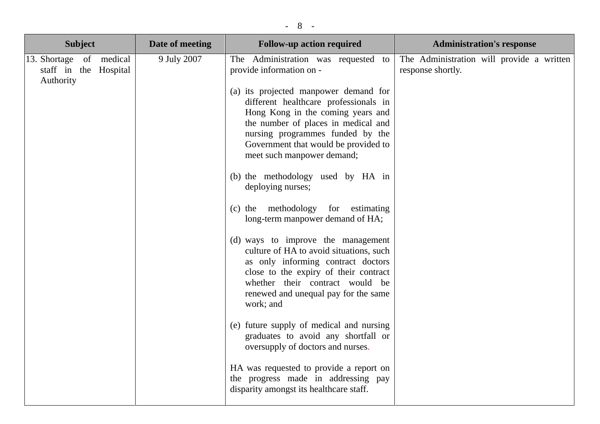| $-8$                                                                |                 |                                                                                                                                                                                                                                                                   |                                                                |  |
|---------------------------------------------------------------------|-----------------|-------------------------------------------------------------------------------------------------------------------------------------------------------------------------------------------------------------------------------------------------------------------|----------------------------------------------------------------|--|
| <b>Subject</b>                                                      | Date of meeting | <b>Follow-up action required</b>                                                                                                                                                                                                                                  | <b>Administration's response</b>                               |  |
| 13. Shortage<br>medical<br>of<br>staff in the Hospital<br>Authority | 9 July 2007     | The Administration was requested to<br>provide information on -<br>(a) its projected manpower demand for<br>different healthcare professionals in<br>Hong Kong in the coming years and<br>the number of places in medical and<br>nursing programmes funded by the | The Administration will provide a written<br>response shortly. |  |

|  | Hong Kong in the coming years and<br>the number of places in medical and<br>nursing programmes funded by the<br>Government that would be provided to<br>meet such manpower demand;                                                                   |  |
|--|------------------------------------------------------------------------------------------------------------------------------------------------------------------------------------------------------------------------------------------------------|--|
|  | (b) the methodology used by HA in<br>deploying nurses;                                                                                                                                                                                               |  |
|  | (c) the methodology for<br>estimating<br>long-term manpower demand of HA;                                                                                                                                                                            |  |
|  | (d) ways to improve the management<br>culture of HA to avoid situations, such<br>as only informing contract doctors<br>close to the expiry of their contract<br>whether their contract would be<br>renewed and unequal pay for the same<br>work; and |  |
|  | (e) future supply of medical and nursing<br>graduates to avoid any shortfall or<br>oversupply of doctors and nurses.                                                                                                                                 |  |
|  | HA was requested to provide a report on<br>the progress made in addressing pay<br>disparity amongst its healthcare staff.                                                                                                                            |  |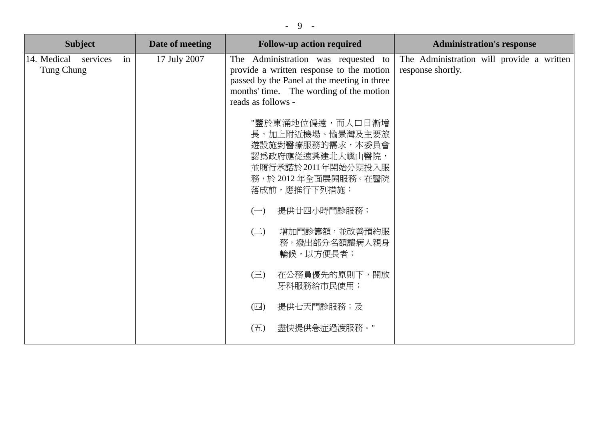|--|--|

| <b>Subject</b>                              | Date of meeting | <b>Follow-up action required</b>                                                                                                                                                                | <b>Administration's response</b>                               |
|---------------------------------------------|-----------------|-------------------------------------------------------------------------------------------------------------------------------------------------------------------------------------------------|----------------------------------------------------------------|
| 14. Medical<br>services<br>in<br>Tung Chung | 17 July 2007    | The Administration was requested to<br>provide a written response to the motion<br>passed by the Panel at the meeting in three<br>months' time. The wording of the motion<br>reads as follows - | The Administration will provide a written<br>response shortly. |
|                                             |                 | "鑒於東涌地位偏遠,而人口日漸增<br>長,加上附近機場、愉景灣及主要旅<br>遊設施對醫療服務的需求,本委員會<br>認為政府應從速興建北大嶼山醫院,<br>並履行承諾於2011年開始分期投入服<br>務,於2012年全面展開服務。在醫院<br>落成前,應推行下列措施:                                                        |                                                                |
|                                             |                 | 提供廿四小時門診服務;<br>$(-)$<br>增加門診籌額,並改善預約服<br>$\left(\square\right)$                                                                                                                                 |                                                                |
|                                             |                 | 務,撥出部分名額讓病人親身<br>輪候,以方便長者;                                                                                                                                                                      |                                                                |
|                                             |                 | 在公務員優先的原則下,開放<br>$(\equiv)$<br>牙科服務給市民使用;                                                                                                                                                       |                                                                |
|                                             |                 | $(\mathbb{Z})$<br>提供七天門診服務;及                                                                                                                                                                    |                                                                |
|                                             |                 | 盡快提供急症過渡服務。"<br>(五)                                                                                                                                                                             |                                                                |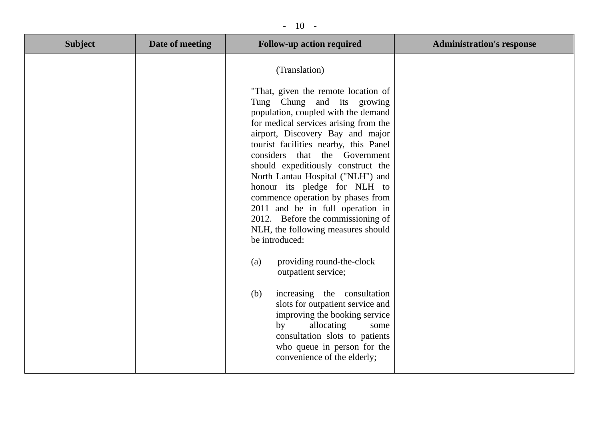## - 10 -

| <b>Subject</b> | Date of meeting | <b>Follow-up action required</b>                                                                                                                                                                                                                                                                                                                                                                                                                                                                                                                                                                                                                                                                                                                                                                                                                                    | <b>Administration's response</b> |
|----------------|-----------------|---------------------------------------------------------------------------------------------------------------------------------------------------------------------------------------------------------------------------------------------------------------------------------------------------------------------------------------------------------------------------------------------------------------------------------------------------------------------------------------------------------------------------------------------------------------------------------------------------------------------------------------------------------------------------------------------------------------------------------------------------------------------------------------------------------------------------------------------------------------------|----------------------------------|
|                |                 | (Translation)<br>"That, given the remote location of<br>Tung Chung and its growing<br>population, coupled with the demand<br>for medical services arising from the<br>airport, Discovery Bay and major<br>tourist facilities nearby, this Panel<br>considers that the Government<br>should expeditiously construct the<br>North Lantau Hospital ("NLH") and<br>honour its pledge for NLH to<br>commence operation by phases from<br>2011 and be in full operation in<br>2012. Before the commissioning of<br>NLH, the following measures should<br>be introduced:<br>providing round-the-clock<br>(a)<br>outpatient service;<br>increasing the consultation<br>(b)<br>slots for outpatient service and<br>improving the booking service<br>allocating<br>by<br>some<br>consultation slots to patients<br>who queue in person for the<br>convenience of the elderly; |                                  |